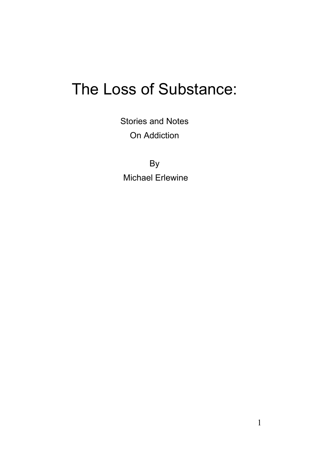# The Loss of Substance:

Stories and Notes On Addiction

By Michael Erlewine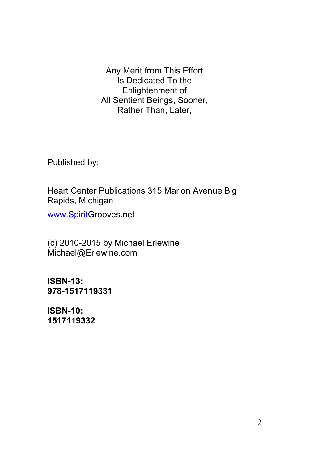Any Merit from This Effort Is Dedicated To the Enlightenment of All Sentient Beings, Sooner, Rather Than, Later,

Published by:

Heart Center Publications 315 Marion Avenue Big Rapids, Michigan

[www.SpiritG](http://www.spirit/)rooves.net

(c) 2010-2015 by Michael Erlewine Michael@Erlewine.com

**ISBN-13: 978-1517119331**

**ISBN-10: 1517119332**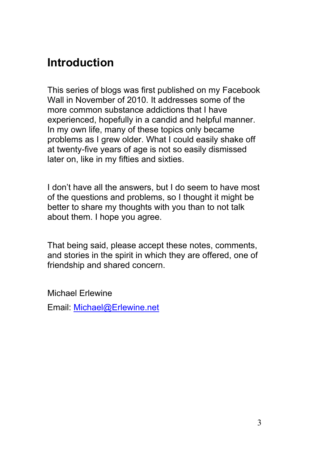### <span id="page-2-0"></span>**Introduction**

This series of blogs was first published on my Facebook Wall in November of 2010. It addresses some of the more common substance addictions that I have experienced, hopefully in a candid and helpful manner. In my own life, many of these topics only became problems as I grew older. What I could easily shake off at twenty-five years of age is not so easily dismissed later on, like in my fifties and sixties.

I don't have all the answers, but I do seem to have most of the questions and problems, so I thought it might be better to share my thoughts with you than to not talk about them. I hope you agree.

That being said, please accept these notes, comments, and stories in the spirit in which they are offered, one of friendship and shared concern.

Michael Erlewine Email: [Michael@Erlewine.net](mailto:Michael@Erlewine.net)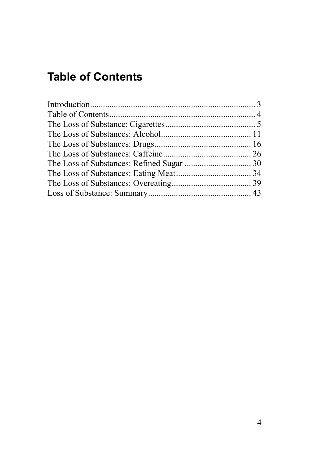# <span id="page-3-0"></span>**Table of Contents**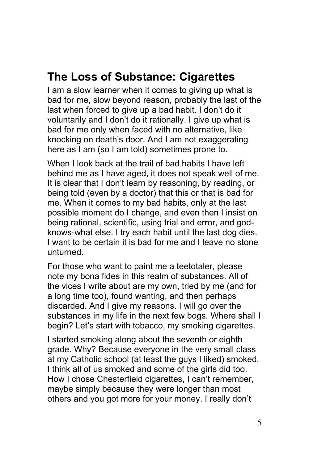### <span id="page-4-0"></span>**The Loss of Substance: Cigarettes**

I am a slow learner when it comes to giving up what is bad for me, slow beyond reason, probably the last of the last when forced to give up a bad habit. I don't do it voluntarily and I don't do it rationally. I give up what is bad for me only when faced with no alternative, like knocking on death's door. And I am not exaggerating here as I am (so I am told) sometimes prone to.

When I look back at the trail of bad habits I have left behind me as I have aged, it does not speak well of me. It is clear that I don't learn by reasoning, by reading, or being told (even by a doctor) that this or that is bad for me. When it comes to my bad habits, only at the last possible moment do I change, and even then I insist on being rational, scientific, using trial and error, and godknows-what else. I try each habit until the last dog dies. I want to be certain it is bad for me and I leave no stone unturned.

For those who want to paint me a teetotaler, please note my bona fides in this realm of substances. All of the vices I write about are my own, tried by me (and for a long time too), found wanting, and then perhaps discarded. And I give my reasons. I will go over the substances in my life in the next few bogs. Where shall I begin? Let's start with tobacco, my smoking cigarettes.

I started smoking along about the seventh or eighth grade. Why? Because everyone in the very small class at my Catholic school (at least the guys I liked) smoked. I think all of us smoked and some of the girls did too. How I chose Chesterfield cigarettes, I can't remember, maybe simply because they were longer than most others and you got more for your money. I really don't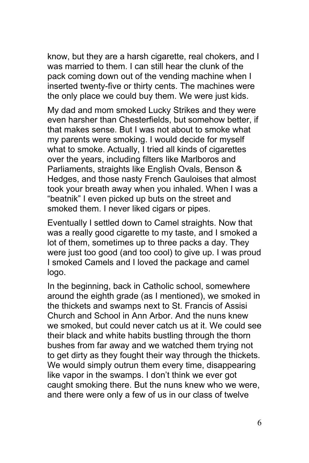know, but they are a harsh cigarette, real chokers, and I was married to them. I can still hear the clunk of the pack coming down out of the vending machine when I inserted twenty-five or thirty cents. The machines were the only place we could buy them. We were just kids.

My dad and mom smoked Lucky Strikes and they were even harsher than Chesterfields, but somehow better, if that makes sense. But I was not about to smoke what my parents were smoking. I would decide for myself what to smoke. Actually, I tried all kinds of cigarettes over the years, including filters like Marlboros and Parliaments, straights like English Ovals, Benson & Hedges, and those nasty French Gauloises that almost took your breath away when you inhaled. When I was a "beatnik" I even picked up buts on the street and smoked them. I never liked cigars or pipes.

Eventually I settled down to Camel straights. Now that was a really good cigarette to my taste, and I smoked a lot of them, sometimes up to three packs a day. They were just too good (and too cool) to give up. I was proud I smoked Camels and I loved the package and camel logo.

In the beginning, back in Catholic school, somewhere around the eighth grade (as I mentioned), we smoked in the thickets and swamps next to St. Francis of Assisi Church and School in Ann Arbor. And the nuns knew we smoked, but could never catch us at it. We could see their black and white habits bustling through the thorn bushes from far away and we watched them trying not to get dirty as they fought their way through the thickets. We would simply outrun them every time, disappearing like vapor in the swamps. I don't think we ever got caught smoking there. But the nuns knew who we were, and there were only a few of us in our class of twelve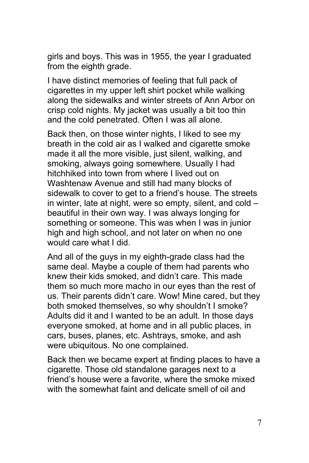girls and boys. This was in 1955, the year I graduated from the eighth grade.

I have distinct memories of feeling that full pack of cigarettes in my upper left shirt pocket while walking along the sidewalks and winter streets of Ann Arbor on crisp cold nights. My jacket was usually a bit too thin and the cold penetrated. Often I was all alone.

Back then, on those winter nights, I liked to see my breath in the cold air as I walked and cigarette smoke made it all the more visible, just silent, walking, and smoking, always going somewhere. Usually I had hitchhiked into town from where I lived out on Washtenaw Avenue and still had many blocks of sidewalk to cover to get to a friend's house. The streets in winter, late at night, were so empty, silent, and cold – beautiful in their own way. I was always longing for something or someone. This was when I was in junior high and high school, and not later on when no one would care what I did.

And all of the guys in my eighth-grade class had the same deal. Maybe a couple of them had parents who knew their kids smoked, and didn't care. This made them so much more macho in our eyes than the rest of us. Their parents didn't care. Wow! Mine cared, but they both smoked themselves, so why shouldn't I smoke? Adults did it and I wanted to be an adult. In those days everyone smoked, at home and in all public places, in cars, buses, planes, etc. Ashtrays, smoke, and ash were ubiquitous. No one complained.

Back then we became expert at finding places to have a cigarette. Those old standalone garages next to a friend's house were a favorite, where the smoke mixed with the somewhat faint and delicate smell of oil and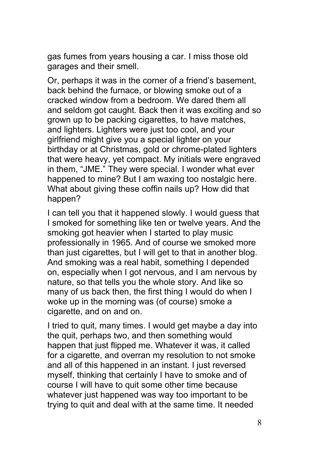gas fumes from years housing a car. I miss those old garages and their smell.

Or, perhaps it was in the corner of a friend's basement, back behind the furnace, or blowing smoke out of a cracked window from a bedroom. We dared them all and seldom got caught. Back then it was exciting and so grown up to be packing cigarettes, to have matches, and lighters. Lighters were just too cool, and your girlfriend might give you a special lighter on your birthday or at Christmas, gold or chrome-plated lighters that were heavy, yet compact. My initials were engraved in them, "JME." They were special. I wonder what ever happened to mine? But I am waxing too nostalgic here. What about giving these coffin nails up? How did that happen?

I can tell you that it happened slowly. I would guess that I smoked for something like ten or twelve years. And the smoking got heavier when I started to play music professionally in 1965. And of course we smoked more than just cigarettes, but I will get to that in another blog. And smoking was a real habit, something I depended on, especially when I got nervous, and I am nervous by nature, so that tells you the whole story. And like so many of us back then, the first thing I would do when I woke up in the morning was (of course) smoke a cigarette, and on and on.

I tried to quit, many times. I would get maybe a day into the quit, perhaps two, and then something would happen that just flipped me. Whatever it was, it called for a cigarette, and overran my resolution to not smoke and all of this happened in an instant. I just reversed myself, thinking that certainly I have to smoke and of course I will have to quit some other time because whatever just happened was way too important to be trying to quit and deal with at the same time. It needed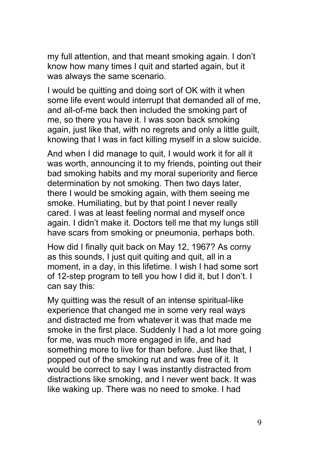my full attention, and that meant smoking again. I don't know how many times I quit and started again, but it was always the same scenario.

I would be quitting and doing sort of OK with it when some life event would interrupt that demanded all of me, and all-of-me back then included the smoking part of me, so there you have it. I was soon back smoking again, just like that, with no regrets and only a little guilt, knowing that I was in fact killing myself in a slow suicide.

And when I did manage to quit, I would work it for all it was worth, announcing it to my friends, pointing out their bad smoking habits and my moral superiority and fierce determination by not smoking. Then two days later, there I would be smoking again, with them seeing me smoke. Humiliating, but by that point I never really cared. I was at least feeling normal and myself once again. I didn't make it. Doctors tell me that my lungs still have scars from smoking or pneumonia, perhaps both.

How did I finally quit back on May 12, 1967? As corny as this sounds, I just quit quiting and quit, all in a moment, in a day, in this lifetime. I wish I had some sort of 12-step program to tell you how I did it, but I don't. I can say this:

My quitting was the result of an intense spiritual-like experience that changed me in some very real ways and distracted me from whatever it was that made me smoke in the first place. Suddenly I had a lot more going for me, was much more engaged in life, and had something more to live for than before. Just like that, I popped out of the smoking rut and was free of it. It would be correct to say I was instantly distracted from distractions like smoking, and I never went back. It was like waking up. There was no need to smoke. I had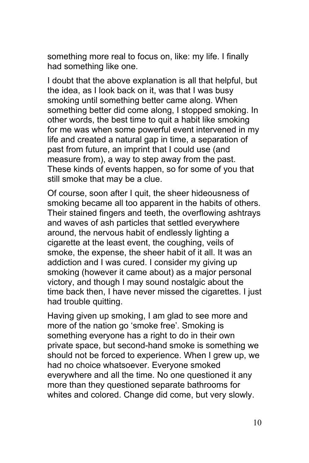something more real to focus on, like: my life. I finally had something like one.

I doubt that the above explanation is all that helpful, but the idea, as I look back on it, was that I was busy smoking until something better came along. When something better did come along, I stopped smoking. In other words, the best time to quit a habit like smoking for me was when some powerful event intervened in my life and created a natural gap in time, a separation of past from future, an imprint that I could use (and measure from), a way to step away from the past. These kinds of events happen, so for some of you that still smoke that may be a clue.

Of course, soon after I quit, the sheer hideousness of smoking became all too apparent in the habits of others. Their stained fingers and teeth, the overflowing ashtrays and waves of ash particles that settled everywhere around, the nervous habit of endlessly lighting a cigarette at the least event, the coughing, veils of smoke, the expense, the sheer habit of it all. It was an addiction and I was cured. I consider my giving up smoking (however it came about) as a major personal victory, and though I may sound nostalgic about the time back then, I have never missed the cigarettes. I just had trouble quitting.

Having given up smoking, I am glad to see more and more of the nation go 'smoke free'. Smoking is something everyone has a right to do in their own private space, but second-hand smoke is something we should not be forced to experience. When I grew up, we had no choice whatsoever. Everyone smoked everywhere and all the time. No one questioned it any more than they questioned separate bathrooms for whites and colored. Change did come, but very slowly.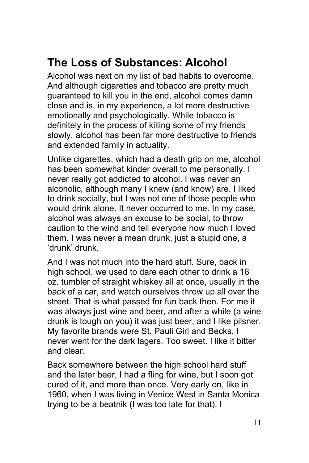# <span id="page-10-0"></span>**The Loss of Substances: Alcohol**

Alcohol was next on my list of bad habits to overcome. And although cigarettes and tobacco are pretty much guaranteed to kill you in the end, alcohol comes damn close and is, in my experience, a lot more destructive emotionally and psychologically. While tobacco is definitely in the process of killing some of my friends slowly, alcohol has been far more destructive to friends and extended family in actuality.

Unlike cigarettes, which had a death grip on me, alcohol has been somewhat kinder overall to me personally. I never really got addicted to alcohol. I was never an alcoholic, although many I knew (and know) are. I liked to drink socially, but I was not one of those people who would drink alone. It never occurred to me. In my case, alcohol was always an excuse to be social, to throw caution to the wind and tell everyone how much I loved them. I was never a mean drunk, just a stupid one, a 'drunk' drunk.

And I was not much into the hard stuff. Sure, back in high school, we used to dare each other to drink a 16 oz. tumbler of straight whiskey all at once, usually in the back of a car, and watch ourselves throw up all over the street. That is what passed for fun back then. For me it was always just wine and beer, and after a while (a wine drunk is tough on you) it was just beer, and I like pilsner. My favorite brands were St. Pauli Girl and Becks. I never went for the dark lagers. Too sweet. I like it bitter and clear.

Back somewhere between the high school hard stuff and the later beer, I had a fling for wine, but I soon got cured of it, and more than once. Very early on, like in 1960, when I was living in Venice West in Santa Monica trying to be a beatnik (I was too late for that), I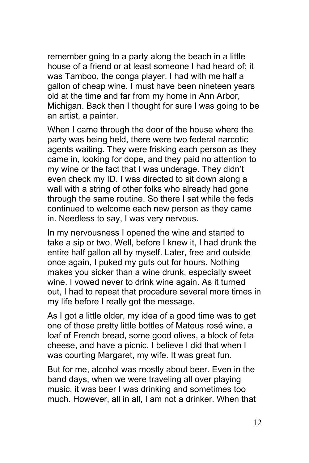remember going to a party along the beach in a little house of a friend or at least someone I had heard of; it was Tamboo, the conga player. I had with me half a gallon of cheap wine. I must have been nineteen years old at the time and far from my home in Ann Arbor, Michigan. Back then I thought for sure I was going to be an artist, a painter.

When I came through the door of the house where the party was being held, there were two federal narcotic agents waiting. They were frisking each person as they came in, looking for dope, and they paid no attention to my wine or the fact that I was underage. They didn't even check my ID. I was directed to sit down along a wall with a string of other folks who already had gone through the same routine. So there I sat while the feds continued to welcome each new person as they came in. Needless to say, I was very nervous.

In my nervousness I opened the wine and started to take a sip or two. Well, before I knew it, I had drunk the entire half gallon all by myself. Later, free and outside once again, I puked my guts out for hours. Nothing makes you sicker than a wine drunk, especially sweet wine. I vowed never to drink wine again. As it turned out, I had to repeat that procedure several more times in my life before I really got the message.

As I got a little older, my idea of a good time was to get one of those pretty little bottles of Mateus rosé wine, a loaf of French bread, some good olives, a block of feta cheese, and have a picnic. I believe I did that when I was courting Margaret, my wife. It was great fun.

But for me, alcohol was mostly about beer. Even in the band days, when we were traveling all over playing music, it was beer I was drinking and sometimes too much. However, all in all, I am not a drinker. When that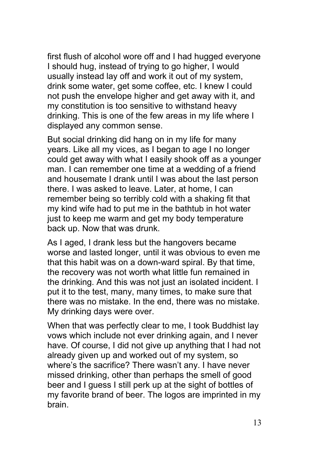first flush of alcohol wore off and I had hugged everyone I should hug, instead of trying to go higher, I would usually instead lay off and work it out of my system, drink some water, get some coffee, etc. I knew I could not push the envelope higher and get away with it, and my constitution is too sensitive to withstand heavy drinking. This is one of the few areas in my life where I displayed any common sense.

But social drinking did hang on in my life for many years. Like all my vices, as I began to age I no longer could get away with what I easily shook off as a younger man. I can remember one time at a wedding of a friend and housemate I drank until I was about the last person there. I was asked to leave. Later, at home, I can remember being so terribly cold with a shaking fit that my kind wife had to put me in the bathtub in hot water just to keep me warm and get my body temperature back up. Now that was drunk.

As I aged, I drank less but the hangovers became worse and lasted longer, until it was obvious to even me that this habit was on a down-ward spiral. By that time, the recovery was not worth what little fun remained in the drinking. And this was not just an isolated incident. I put it to the test, many, many times, to make sure that there was no mistake. In the end, there was no mistake. My drinking days were over.

When that was perfectly clear to me, I took Buddhist lay vows which include not ever drinking again, and I never have. Of course, I did not give up anything that I had not already given up and worked out of my system, so where's the sacrifice? There wasn't any. I have never missed drinking, other than perhaps the smell of good beer and I guess I still perk up at the sight of bottles of my favorite brand of beer. The logos are imprinted in my brain.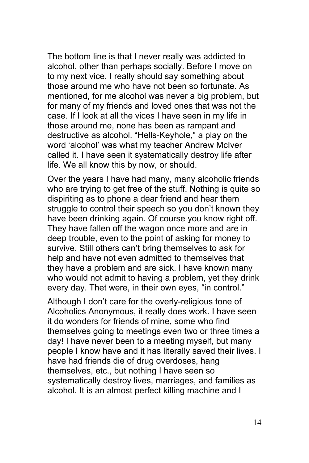The bottom line is that I never really was addicted to alcohol, other than perhaps socially. Before I move on to my next vice, I really should say something about those around me who have not been so fortunate. As mentioned, for me alcohol was never a big problem, but for many of my friends and loved ones that was not the case. If I look at all the vices I have seen in my life in those around me, none has been as rampant and destructive as alcohol. "Hells-Keyhole," a play on the word 'alcohol' was what my teacher Andrew McIver called it. I have seen it systematically destroy life after life. We all know this by now, or should.

Over the years I have had many, many alcoholic friends who are trying to get free of the stuff. Nothing is quite so dispiriting as to phone a dear friend and hear them struggle to control their speech so you don't known they have been drinking again. Of course you know right off. They have fallen off the wagon once more and are in deep trouble, even to the point of asking for money to survive. Still others can't bring themselves to ask for help and have not even admitted to themselves that they have a problem and are sick. I have known many who would not admit to having a problem, yet they drink every day. Thet were, in their own eyes, "in control."

Although I don't care for the overly-religious tone of Alcoholics Anonymous, it really does work. I have seen it do wonders for friends of mine, some who find themselves going to meetings even two or three times a day! I have never been to a meeting myself, but many people I know have and it has literally saved their lives. I have had friends die of drug overdoses, hang themselves, etc., but nothing I have seen so systematically destroy lives, marriages, and families as alcohol. It is an almost perfect killing machine and I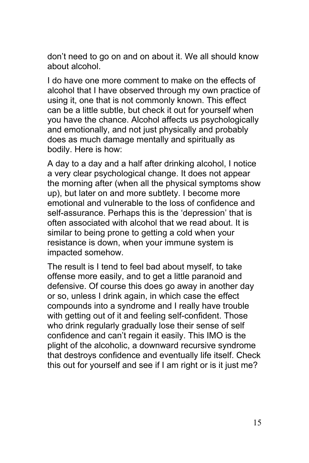don't need to go on and on about it. We all should know about alcohol.

I do have one more comment to make on the effects of alcohol that I have observed through my own practice of using it, one that is not commonly known. This effect can be a little subtle, but check it out for yourself when you have the chance. Alcohol affects us psychologically and emotionally, and not just physically and probably does as much damage mentally and spiritually as bodily. Here is how:

A day to a day and a half after drinking alcohol, I notice a very clear psychological change. It does not appear the morning after (when all the physical symptoms show up), but later on and more subtlety. I become more emotional and vulnerable to the loss of confidence and self-assurance. Perhaps this is the 'depression' that is often associated with alcohol that we read about. It is similar to being prone to getting a cold when your resistance is down, when your immune system is impacted somehow.

The result is I tend to feel bad about myself, to take offense more easily, and to get a little paranoid and defensive. Of course this does go away in another day or so, unless I drink again, in which case the effect compounds into a syndrome and I really have trouble with getting out of it and feeling self-confident. Those who drink regularly gradually lose their sense of self confidence and can't regain it easily. This IMO is the plight of the alcoholic, a downward recursive syndrome that destroys confidence and eventually life itself. Check this out for yourself and see if I am right or is it just me?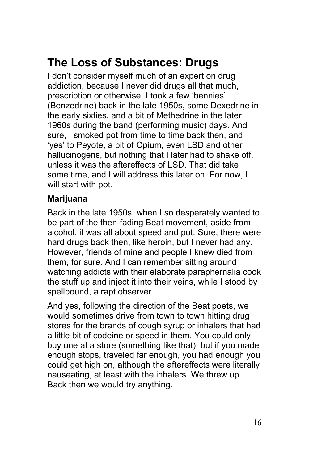# <span id="page-15-0"></span>**The Loss of Substances: Drugs**

I don't consider myself much of an expert on drug addiction, because I never did drugs all that much, prescription or otherwise. I took a few 'bennies' (Benzedrine) back in the late 1950s, some Dexedrine in the early sixties, and a bit of Methedrine in the later 1960s during the band (performing music) days. And sure, I smoked pot from time to time back then, and 'yes' to Peyote, a bit of Opium, even LSD and other hallucinogens, but nothing that I later had to shake off, unless it was the aftereffects of LSD. That did take some time, and I will address this later on. For now, I will start with pot.

#### **Marijuana**

Back in the late 1950s, when I so desperately wanted to be part of the then-fading Beat movement, aside from alcohol, it was all about speed and pot. Sure, there were hard drugs back then, like heroin, but I never had any. However, friends of mine and people I knew died from them, for sure. And I can remember sitting around watching addicts with their elaborate paraphernalia cook the stuff up and inject it into their veins, while I stood by spellbound, a rapt observer.

And yes, following the direction of the Beat poets, we would sometimes drive from town to town hitting drug stores for the brands of cough syrup or inhalers that had a little bit of codeine or speed in them. You could only buy one at a store (something like that), but if you made enough stops, traveled far enough, you had enough you could get high on, although the aftereffects were literally nauseating, at least with the inhalers. We threw up. Back then we would try anything.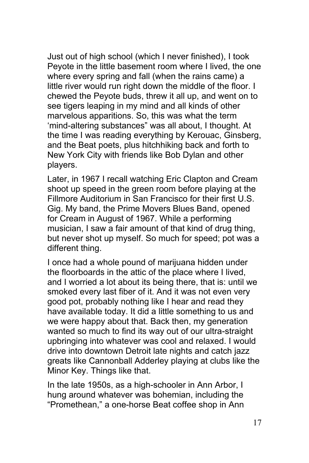Just out of high school (which I never finished), I took Peyote in the little basement room where I lived, the one where every spring and fall (when the rains came) a little river would run right down the middle of the floor. I chewed the Peyote buds, threw it all up, and went on to see tigers leaping in my mind and all kinds of other marvelous apparitions. So, this was what the term 'mind-altering substances" was all about, I thought. At the time I was reading everything by Kerouac, Ginsberg, and the Beat poets, plus hitchhiking back and forth to New York City with friends like Bob Dylan and other players.

Later, in 1967 I recall watching Eric Clapton and Cream shoot up speed in the green room before playing at the Fillmore Auditorium in San Francisco for their first U.S. Gig. My band, the Prime Movers Blues Band, opened for Cream in August of 1967. While a performing musician, I saw a fair amount of that kind of drug thing, but never shot up myself. So much for speed; pot was a different thing.

I once had a whole pound of marijuana hidden under the floorboards in the attic of the place where I lived, and I worried a lot about its being there, that is: until we smoked every last fiber of it. And it was not even very good pot, probably nothing like I hear and read they have available today. It did a little something to us and we were happy about that. Back then, my generation wanted so much to find its way out of our ultra-straight upbringing into whatever was cool and relaxed. I would drive into downtown Detroit late nights and catch jazz greats like Cannonball Adderley playing at clubs like the Minor Key. Things like that.

In the late 1950s, as a high-schooler in Ann Arbor, I hung around whatever was bohemian, including the "Promethean," a one-horse Beat coffee shop in Ann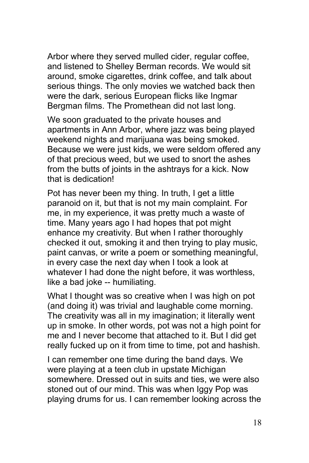Arbor where they served mulled cider, regular coffee, and listened to Shelley Berman records. We would sit around, smoke cigarettes, drink coffee, and talk about serious things. The only movies we watched back then were the dark, serious European flicks like Ingmar Bergman films. The Promethean did not last long.

We soon graduated to the private houses and apartments in Ann Arbor, where jazz was being played weekend nights and marijuana was being smoked. Because we were just kids, we were seldom offered any of that precious weed, but we used to snort the ashes from the butts of joints in the ashtrays for a kick. Now that is dedication!

Pot has never been my thing. In truth, I get a little paranoid on it, but that is not my main complaint. For me, in my experience, it was pretty much a waste of time. Many years ago I had hopes that pot might enhance my creativity. But when I rather thoroughly checked it out, smoking it and then trying to play music, paint canvas, or write a poem or something meaningful, in every case the next day when I took a look at whatever I had done the night before, it was worthless, like a bad joke -- humiliating.

What I thought was so creative when I was high on pot (and doing it) was trivial and laughable come morning. The creativity was all in my imagination; it literally went up in smoke. In other words, pot was not a high point for me and I never become that attached to it. But I did get really fucked up on it from time to time, pot and hashish.

I can remember one time during the band days. We were playing at a teen club in upstate Michigan somewhere. Dressed out in suits and ties, we were also stoned out of our mind. This was when Iggy Pop was playing drums for us. I can remember looking across the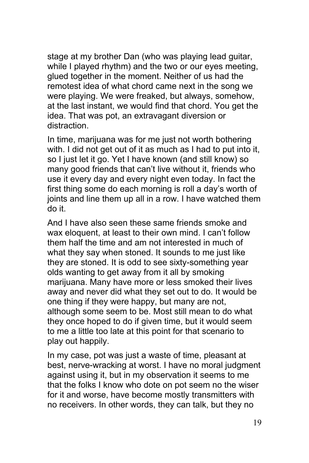stage at my brother Dan (who was playing lead guitar, while I played rhythm) and the two or our eyes meeting, glued together in the moment. Neither of us had the remotest idea of what chord came next in the song we were playing. We were freaked, but always, somehow, at the last instant, we would find that chord. You get the idea. That was pot, an extravagant diversion or distraction.

In time, marijuana was for me just not worth bothering with. I did not get out of it as much as I had to put into it, so I just let it go. Yet I have known (and still know) so many good friends that can't live without it, friends who use it every day and every night even today. In fact the first thing some do each morning is roll a day's worth of joints and line them up all in a row. I have watched them do it.

And I have also seen these same friends smoke and wax eloquent, at least to their own mind. I can't follow them half the time and am not interested in much of what they say when stoned. It sounds to me just like they are stoned. It is odd to see sixty-something year olds wanting to get away from it all by smoking marijuana. Many have more or less smoked their lives away and never did what they set out to do. It would be one thing if they were happy, but many are not, although some seem to be. Most still mean to do what they once hoped to do if given time, but it would seem to me a little too late at this point for that scenario to play out happily.

In my case, pot was just a waste of time, pleasant at best, nerve-wracking at worst. I have no moral judgment against using it, but in my observation it seems to me that the folks I know who dote on pot seem no the wiser for it and worse, have become mostly transmitters with no receivers. In other words, they can talk, but they no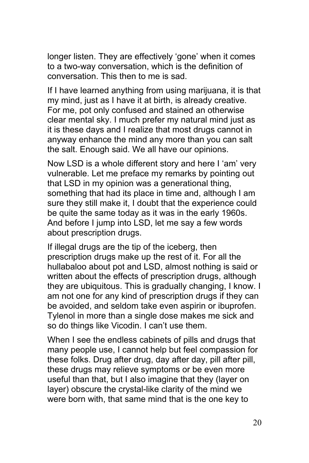longer listen. They are effectively 'gone' when it comes to a two-way conversation, which is the definition of conversation. This then to me is sad.

If I have learned anything from using marijuana, it is that my mind, just as I have it at birth, is already creative. For me, pot only confused and stained an otherwise clear mental sky. I much prefer my natural mind just as it is these days and I realize that most drugs cannot in anyway enhance the mind any more than you can salt the salt. Enough said. We all have our opinions.

Now LSD is a whole different story and here I 'am' very vulnerable. Let me preface my remarks by pointing out that LSD in my opinion was a generational thing, something that had its place in time and, although I am sure they still make it, I doubt that the experience could be quite the same today as it was in the early 1960s. And before I jump into LSD, let me say a few words about prescription drugs.

If illegal drugs are the tip of the iceberg, then prescription drugs make up the rest of it. For all the hullabaloo about pot and LSD, almost nothing is said or written about the effects of prescription drugs, although they are ubiquitous. This is gradually changing, I know. I am not one for any kind of prescription drugs if they can be avoided, and seldom take even aspirin or ibuprofen. Tylenol in more than a single dose makes me sick and so do things like Vicodin. I can't use them.

When I see the endless cabinets of pills and drugs that many people use, I cannot help but feel compassion for these folks. Drug after drug, day after day, pill after pill, these drugs may relieve symptoms or be even more useful than that, but I also imagine that they (layer on layer) obscure the crystal-like clarity of the mind we were born with, that same mind that is the one key to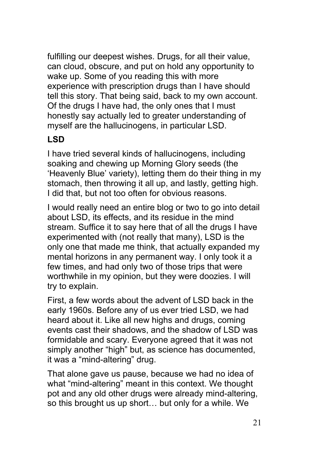fulfilling our deepest wishes. Drugs, for all their value, can cloud, obscure, and put on hold any opportunity to wake up. Some of you reading this with more experience with prescription drugs than I have should tell this story. That being said, back to my own account. Of the drugs I have had, the only ones that I must honestly say actually led to greater understanding of myself are the hallucinogens, in particular LSD.

### **LSD**

I have tried several kinds of hallucinogens, including soaking and chewing up Morning Glory seeds (the 'Heavenly Blue' variety), letting them do their thing in my stomach, then throwing it all up, and lastly, getting high. I did that, but not too often for obvious reasons.

I would really need an entire blog or two to go into detail about LSD, its effects, and its residue in the mind stream. Suffice it to say here that of all the drugs I have experimented with (not really that many), LSD is the only one that made me think, that actually expanded my mental horizons in any permanent way. I only took it a few times, and had only two of those trips that were worthwhile in my opinion, but they were doozies. I will try to explain.

First, a few words about the advent of LSD back in the early 1960s. Before any of us ever tried LSD, we had heard about it. Like all new highs and drugs, coming events cast their shadows, and the shadow of LSD was formidable and scary. Everyone agreed that it was not simply another "high" but, as science has documented, it was a "mind-altering" drug.

That alone gave us pause, because we had no idea of what "mind-altering" meant in this context. We thought pot and any old other drugs were already mind-altering, so this brought us up short… but only for a while. We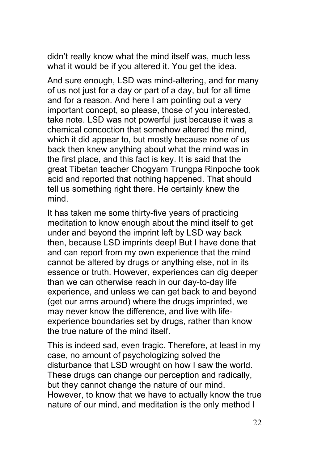didn't really know what the mind itself was, much less what it would be if you altered it. You get the idea.

And sure enough, LSD was mind-altering, and for many of us not just for a day or part of a day, but for all time and for a reason. And here I am pointing out a very important concept, so please, those of you interested, take note. LSD was not powerful just because it was a chemical concoction that somehow altered the mind, which it did appear to, but mostly because none of us back then knew anything about what the mind was in the first place, and this fact is key. It is said that the great Tibetan teacher Chogyam Trungpa Rinpoche took acid and reported that nothing happened. That should tell us something right there. He certainly knew the mind.

It has taken me some thirty-five years of practicing meditation to know enough about the mind itself to get under and beyond the imprint left by LSD way back then, because LSD imprints deep! But I have done that and can report from my own experience that the mind cannot be altered by drugs or anything else, not in its essence or truth. However, experiences can dig deeper than we can otherwise reach in our day-to-day life experience, and unless we can get back to and beyond (get our arms around) where the drugs imprinted, we may never know the difference, and live with lifeexperience boundaries set by drugs, rather than know the true nature of the mind itself.

This is indeed sad, even tragic. Therefore, at least in my case, no amount of psychologizing solved the disturbance that LSD wrought on how I saw the world. These drugs can change our perception and radically, but they cannot change the nature of our mind. However, to know that we have to actually know the true nature of our mind, and meditation is the only method I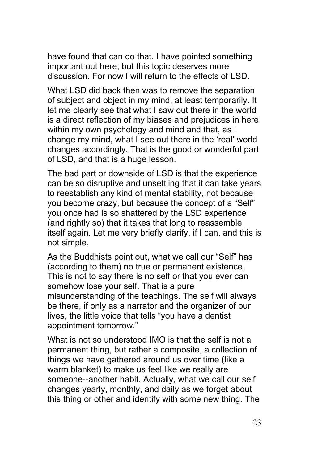have found that can do that. I have pointed something important out here, but this topic deserves more discussion. For now I will return to the effects of LSD.

What LSD did back then was to remove the separation of subject and object in my mind, at least temporarily. It let me clearly see that what I saw out there in the world is a direct reflection of my biases and prejudices in here within my own psychology and mind and that, as I change my mind, what I see out there in the 'real' world changes accordingly. That is the good or wonderful part of LSD, and that is a huge lesson.

The bad part or downside of LSD is that the experience can be so disruptive and unsettling that it can take years to reestablish any kind of mental stability, not because you become crazy, but because the concept of a "Self" you once had is so shattered by the LSD experience (and rightly so) that it takes that long to reassemble itself again. Let me very briefly clarify, if I can, and this is not simple.

As the Buddhists point out, what we call our "Self" has (according to them) no true or permanent existence. This is not to say there is no self or that you ever can somehow lose your self. That is a pure misunderstanding of the teachings. The self will always be there, if only as a narrator and the organizer of our lives, the little voice that tells "you have a dentist appointment tomorrow."

What is not so understood IMO is that the self is not a permanent thing, but rather a composite, a collection of things we have gathered around us over time (like a warm blanket) to make us feel like we really are someone--another habit. Actually, what we call our self changes yearly, monthly, and daily as we forget about this thing or other and identify with some new thing. The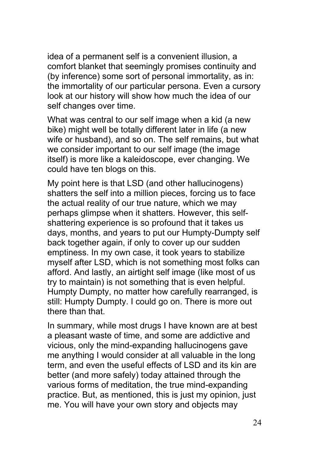idea of a permanent self is a convenient illusion, a comfort blanket that seemingly promises continuity and (by inference) some sort of personal immortality, as in: the immortality of our particular persona. Even a cursory look at our history will show how much the idea of our self changes over time.

What was central to our self image when a kid (a new bike) might well be totally different later in life (a new wife or husband), and so on. The self remains, but what we consider important to our self image (the image itself) is more like a kaleidoscope, ever changing. We could have ten blogs on this.

My point here is that LSD (and other hallucinogens) shatters the self into a million pieces, forcing us to face the actual reality of our true nature, which we may perhaps glimpse when it shatters. However, this selfshattering experience is so profound that it takes us days, months, and years to put our Humpty-Dumpty self back together again, if only to cover up our sudden emptiness. In my own case, it took years to stabilize myself after LSD, which is not something most folks can afford. And lastly, an airtight self image (like most of us try to maintain) is not something that is even helpful. Humpty Dumpty, no matter how carefully rearranged, is still: Humpty Dumpty. I could go on. There is more out there than that.

In summary, while most drugs I have known are at best a pleasant waste of time, and some are addictive and vicious, only the mind-expanding hallucinogens gave me anything I would consider at all valuable in the long term, and even the useful effects of LSD and its kin are better (and more safely) today attained through the various forms of meditation, the true mind-expanding practice. But, as mentioned, this is just my opinion, just me. You will have your own story and objects may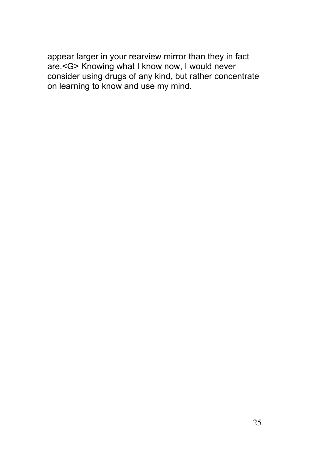appear larger in your rearview mirror than they in fact are.<G> Knowing what I know now, I would never consider using drugs of any kind, but rather concentrate on learning to know and use my mind.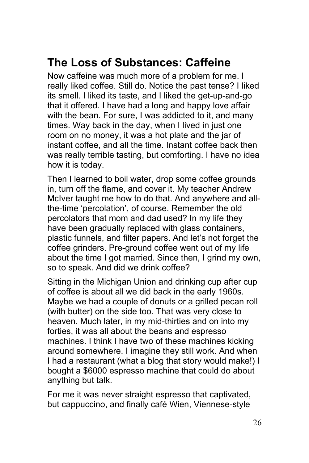### <span id="page-25-0"></span>**The Loss of Substances: Caffeine**

Now caffeine was much more of a problem for me. I really liked coffee. Still do. Notice the past tense? I liked its smell. I liked its taste, and I liked the get-up-and-go that it offered. I have had a long and happy love affair with the bean. For sure, I was addicted to it, and many times. Way back in the day, when I lived in just one room on no money, it was a hot plate and the jar of instant coffee, and all the time. Instant coffee back then was really terrible tasting, but comforting. I have no idea how it is today.

Then I learned to boil water, drop some coffee grounds in, turn off the flame, and cover it. My teacher Andrew McIver taught me how to do that. And anywhere and allthe-time 'percolation', of course. Remember the old percolators that mom and dad used? In my life they have been gradually replaced with glass containers, plastic funnels, and filter papers. And let's not forget the coffee grinders. Pre-ground coffee went out of my life about the time I got married. Since then, I grind my own, so to speak. And did we drink coffee?

Sitting in the Michigan Union and drinking cup after cup of coffee is about all we did back in the early 1960s. Maybe we had a couple of donuts or a grilled pecan roll (with butter) on the side too. That was very close to heaven. Much later, in my mid-thirties and on into my forties, it was all about the beans and espresso machines. I think I have two of these machines kicking around somewhere. I imagine they still work. And when I had a restaurant (what a blog that story would make!) I bought a \$6000 espresso machine that could do about anything but talk.

For me it was never straight espresso that captivated, but cappuccino, and finally café Wien, Viennese-style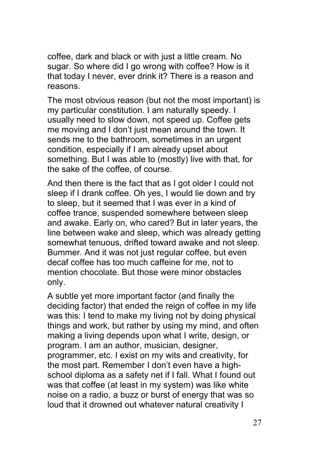coffee, dark and black or with just a little cream. No sugar. So where did I go wrong with coffee? How is it that today I never, ever drink it? There is a reason and reasons.

The most obvious reason (but not the most important) is my particular constitution. I am naturally speedy. I usually need to slow down, not speed up. Coffee gets me moving and I don't just mean around the town. It sends me to the bathroom, sometimes in an urgent condition, especially if I am already upset about something. But I was able to (mostly) live with that, for the sake of the coffee, of course.

And then there is the fact that as I got older I could not sleep if I drank coffee. Oh yes, I would lie down and try to sleep, but it seemed that I was ever in a kind of coffee trance, suspended somewhere between sleep and awake. Early on, who cared? But in later years, the line between wake and sleep, which was already getting somewhat tenuous, drifted toward awake and not sleep. Bummer. And it was not just regular coffee, but even decaf coffee has too much caffeine for me, not to mention chocolate. But those were minor obstacles only.

A subtle yet more important factor (and finally the deciding factor) that ended the reign of coffee in my life was this: I tend to make my living not by doing physical things and work, but rather by using my mind, and often making a living depends upon what I write, design, or program. I am an author, musician, designer, programmer, etc. I exist on my wits and creativity, for the most part. Remember I don't even have a highschool diploma as a safety net if I fall. What I found out was that coffee (at least in my system) was like white noise on a radio, a buzz or burst of energy that was so loud that it drowned out whatever natural creativity I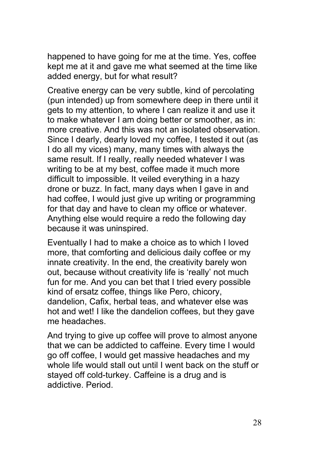happened to have going for me at the time. Yes, coffee kept me at it and gave me what seemed at the time like added energy, but for what result?

Creative energy can be very subtle, kind of percolating (pun intended) up from somewhere deep in there until it gets to my attention, to where I can realize it and use it to make whatever I am doing better or smoother, as in: more creative. And this was not an isolated observation. Since I dearly, dearly loved my coffee, I tested it out (as I do all my vices) many, many times with always the same result. If I really, really needed whatever I was writing to be at my best, coffee made it much more difficult to impossible. It veiled everything in a hazy drone or buzz. In fact, many days when I gave in and had coffee, I would just give up writing or programming for that day and have to clean my office or whatever. Anything else would require a redo the following day because it was uninspired.

Eventually I had to make a choice as to which I loved more, that comforting and delicious daily coffee or my innate creativity. In the end, the creativity barely won out, because without creativity life is 'really' not much fun for me. And you can bet that I tried every possible kind of ersatz coffee, things like Pero, chicory, dandelion, Cafix, herbal teas, and whatever else was hot and wet! I like the dandelion coffees, but they gave me headaches.

And trying to give up coffee will prove to almost anyone that we can be addicted to caffeine. Every time I would go off coffee, I would get massive headaches and my whole life would stall out until I went back on the stuff or stayed off cold-turkey. Caffeine is a drug and is addictive. Period.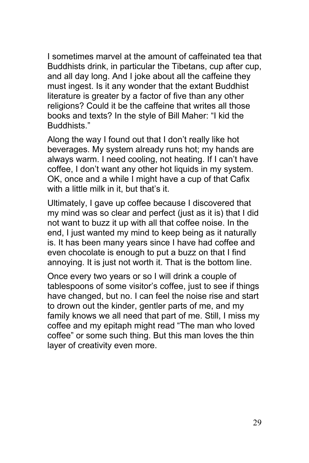I sometimes marvel at the amount of caffeinated tea that Buddhists drink, in particular the Tibetans, cup after cup, and all day long. And I joke about all the caffeine they must ingest. Is it any wonder that the extant Buddhist literature is greater by a factor of five than any other religions? Could it be the caffeine that writes all those books and texts? In the style of Bill Maher: "I kid the Buddhists."

Along the way I found out that I don't really like hot beverages. My system already runs hot; my hands are always warm. I need cooling, not heating. If I can't have coffee, I don't want any other hot liquids in my system. OK, once and a while I might have a cup of that Cafix with a little milk in it, but that's it.

Ultimately, I gave up coffee because I discovered that my mind was so clear and perfect (just as it is) that I did not want to buzz it up with all that coffee noise. In the end, I just wanted my mind to keep being as it naturally is. It has been many years since I have had coffee and even chocolate is enough to put a buzz on that I find annoying. It is just not worth it. That is the bottom line.

Once every two years or so I will drink a couple of tablespoons of some visitor's coffee, just to see if things have changed, but no. I can feel the noise rise and start to drown out the kinder, gentler parts of me, and my family knows we all need that part of me. Still, I miss my coffee and my epitaph might read "The man who loved coffee" or some such thing. But this man loves the thin layer of creativity even more.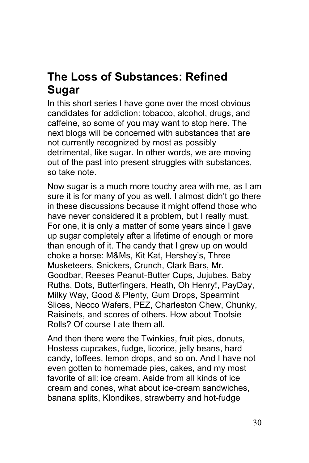### <span id="page-29-0"></span>**The Loss of Substances: Refined Sugar**

In this short series I have gone over the most obvious candidates for addiction: tobacco, alcohol, drugs, and caffeine, so some of you may want to stop here. The next blogs will be concerned with substances that are not currently recognized by most as possibly detrimental, like sugar. In other words, we are moving out of the past into present struggles with substances, so take note.

Now sugar is a much more touchy area with me, as I am sure it is for many of you as well. I almost didn't go there in these discussions because it might offend those who have never considered it a problem, but I really must. For one, it is only a matter of some years since I gave up sugar completely after a lifetime of enough or more than enough of it. The candy that I grew up on would choke a horse: M&Ms, Kit Kat, Hershey's, Three Musketeers, Snickers, Crunch, Clark Bars, Mr. Goodbar, Reeses Peanut-Butter Cups, Jujubes, Baby Ruths, Dots, Butterfingers, Heath, Oh Henry!, PayDay, Milky Way, Good & Plenty, Gum Drops, Spearmint Slices, Necco Wafers, PEZ, Charleston Chew, Chunky, Raisinets, and scores of others. How about Tootsie Rolls? Of course I ate them all.

And then there were the Twinkies, fruit pies, donuts, Hostess cupcakes, fudge, licorice, jelly beans, hard candy, toffees, lemon drops, and so on. And I have not even gotten to homemade pies, cakes, and my most favorite of all: ice cream. Aside from all kinds of ice cream and cones, what about ice-cream sandwiches, banana splits, Klondikes, strawberry and hot-fudge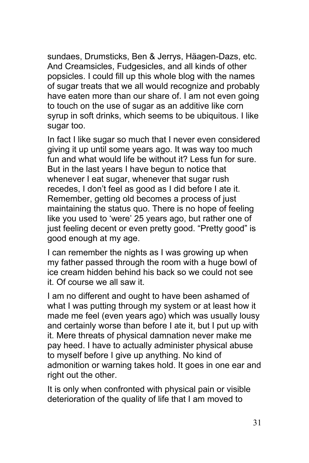sundaes, Drumsticks, Ben & Jerrys, Häagen-Dazs, etc. And Creamsicles, Fudgesicles, and all kinds of other popsicles. I could fill up this whole blog with the names of sugar treats that we all would recognize and probably have eaten more than our share of. I am not even going to touch on the use of sugar as an additive like corn syrup in soft drinks, which seems to be ubiquitous. I like sugar too.

In fact I like sugar so much that I never even considered giving it up until some years ago. It was way too much fun and what would life be without it? Less fun for sure. But in the last years I have begun to notice that whenever I eat sugar, whenever that sugar rush recedes, I don't feel as good as I did before I ate it. Remember, getting old becomes a process of just maintaining the status quo. There is no hope of feeling like you used to 'were' 25 years ago, but rather one of just feeling decent or even pretty good. "Pretty good" is good enough at my age.

I can remember the nights as I was growing up when my father passed through the room with a huge bowl of ice cream hidden behind his back so we could not see it. Of course we all saw it.

I am no different and ought to have been ashamed of what I was putting through my system or at least how it made me feel (even years ago) which was usually lousy and certainly worse than before I ate it, but I put up with it. Mere threats of physical damnation never make me pay heed. I have to actually administer physical abuse to myself before I give up anything. No kind of admonition or warning takes hold. It goes in one ear and right out the other.

It is only when confronted with physical pain or visible deterioration of the quality of life that I am moved to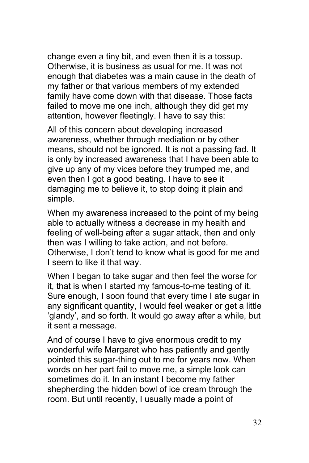change even a tiny bit, and even then it is a tossup. Otherwise, it is business as usual for me. It was not enough that diabetes was a main cause in the death of my father or that various members of my extended family have come down with that disease. Those facts failed to move me one inch, although they did get my attention, however fleetingly. I have to say this:

All of this concern about developing increased awareness, whether through mediation or by other means, should not be ignored. It is not a passing fad. It is only by increased awareness that I have been able to give up any of my vices before they trumped me, and even then I got a good beating. I have to see it damaging me to believe it, to stop doing it plain and simple.

When my awareness increased to the point of my being able to actually witness a decrease in my health and feeling of well-being after a sugar attack, then and only then was I willing to take action, and not before. Otherwise, I don't tend to know what is good for me and I seem to like it that way.

When I began to take sugar and then feel the worse for it, that is when I started my famous-to-me testing of it. Sure enough, I soon found that every time I ate sugar in any significant quantity, I would feel weaker or get a little 'glandy', and so forth. It would go away after a while, but it sent a message.

And of course I have to give enormous credit to my wonderful wife Margaret who has patiently and gently pointed this sugar-thing out to me for years now. When words on her part fail to move me, a simple look can sometimes do it. In an instant I become my father shepherding the hidden bowl of ice cream through the room. But until recently, I usually made a point of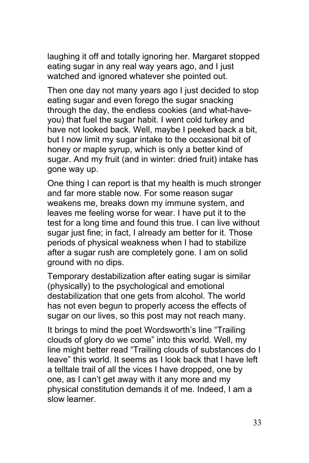laughing it off and totally ignoring her. Margaret stopped eating sugar in any real way years ago, and I just watched and ignored whatever she pointed out.

Then one day not many years ago I just decided to stop eating sugar and even forego the sugar snacking through the day, the endless cookies (and what-haveyou) that fuel the sugar habit. I went cold turkey and have not looked back. Well, maybe I peeked back a bit, but I now limit my sugar intake to the occasional bit of honey or maple syrup, which is only a better kind of sugar. And my fruit (and in winter: dried fruit) intake has gone way up.

One thing I can report is that my health is much stronger and far more stable now. For some reason sugar weakens me, breaks down my immune system, and leaves me feeling worse for wear. I have put it to the test for a long time and found this true. I can live without sugar just fine; in fact, I already am better for it. Those periods of physical weakness when I had to stabilize after a sugar rush are completely gone. I am on solid ground with no dips.

Temporary destabilization after eating sugar is similar (physically) to the psychological and emotional destabilization that one gets from alcohol. The world has not even begun to properly access the effects of sugar on our lives, so this post may not reach many.

It brings to mind the poet Wordsworth's line "Trailing clouds of glory do we come" into this world. Well, my line might better read "Trailing clouds of substances do I leave" this world. It seems as I look back that I have left a telltale trail of all the vices I have dropped, one by one, as I can't get away with it any more and my physical constitution demands it of me. Indeed, I am a slow learner.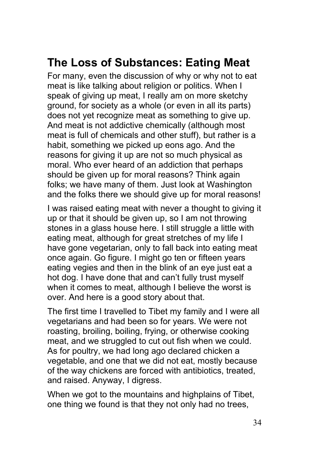### <span id="page-33-0"></span>**The Loss of Substances: Eating Meat**

For many, even the discussion of why or why not to eat meat is like talking about religion or politics. When I speak of giving up meat, I really am on more sketchy ground, for society as a whole (or even in all its parts) does not yet recognize meat as something to give up. And meat is not addictive chemically (although most meat is full of chemicals and other stuff), but rather is a habit, something we picked up eons ago. And the reasons for giving it up are not so much physical as moral. Who ever heard of an addiction that perhaps should be given up for moral reasons? Think again folks; we have many of them. Just look at Washington and the folks there we should give up for moral reasons!

I was raised eating meat with never a thought to giving it up or that it should be given up, so I am not throwing stones in a glass house here. I still struggle a little with eating meat, although for great stretches of my life I have gone vegetarian, only to fall back into eating meat once again. Go figure. I might go ten or fifteen years eating vegies and then in the blink of an eye just eat a hot dog. I have done that and can't fully trust myself when it comes to meat, although I believe the worst is over. And here is a good story about that.

The first time I travelled to Tibet my family and I were all vegetarians and had been so for years. We were not roasting, broiling, boiling, frying, or otherwise cooking meat, and we struggled to cut out fish when we could. As for poultry, we had long ago declared chicken a vegetable, and one that we did not eat, mostly because of the way chickens are forced with antibiotics, treated, and raised. Anyway, I digress.

When we got to the mountains and highplains of Tibet, one thing we found is that they not only had no trees,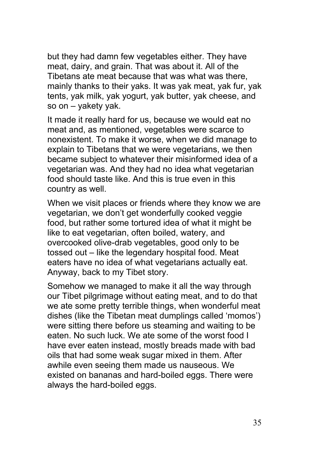but they had damn few vegetables either. They have meat, dairy, and grain. That was about it. All of the Tibetans ate meat because that was what was there, mainly thanks to their yaks. It was yak meat, yak fur, yak tents, yak milk, yak yogurt, yak butter, yak cheese, and so on – yakety yak.

It made it really hard for us, because we would eat no meat and, as mentioned, vegetables were scarce to nonexistent. To make it worse, when we did manage to explain to Tibetans that we were vegetarians, we then became subject to whatever their misinformed idea of a vegetarian was. And they had no idea what vegetarian food should taste like. And this is true even in this country as well.

When we visit places or friends where they know we are vegetarian, we don't get wonderfully cooked veggie food, but rather some tortured idea of what it might be like to eat vegetarian, often boiled, watery, and overcooked olive-drab vegetables, good only to be tossed out – like the legendary hospital food. Meat eaters have no idea of what vegetarians actually eat. Anyway, back to my Tibet story.

Somehow we managed to make it all the way through our Tibet pilgrimage without eating meat, and to do that we ate some pretty terrible things, when wonderful meat dishes (like the Tibetan meat dumplings called 'momos') were sitting there before us steaming and waiting to be eaten. No such luck. We ate some of the worst food I have ever eaten instead, mostly breads made with bad oils that had some weak sugar mixed in them. After awhile even seeing them made us nauseous. We existed on bananas and hard-boiled eggs. There were always the hard-boiled eggs.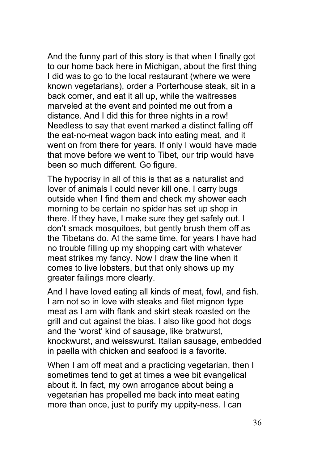And the funny part of this story is that when I finally got to our home back here in Michigan, about the first thing I did was to go to the local restaurant (where we were known vegetarians), order a Porterhouse steak, sit in a back corner, and eat it all up, while the waitresses marveled at the event and pointed me out from a distance. And I did this for three nights in a row! Needless to say that event marked a distinct falling off the eat-no-meat wagon back into eating meat, and it went on from there for years. If only I would have made that move before we went to Tibet, our trip would have been so much different. Go figure.

The hypocrisy in all of this is that as a naturalist and lover of animals I could never kill one. I carry bugs outside when I find them and check my shower each morning to be certain no spider has set up shop in there. If they have, I make sure they get safely out. I don't smack mosquitoes, but gently brush them off as the Tibetans do. At the same time, for years I have had no trouble filling up my shopping cart with whatever meat strikes my fancy. Now I draw the line when it comes to live lobsters, but that only shows up my greater failings more clearly.

And I have loved eating all kinds of meat, fowl, and fish. I am not so in love with steaks and filet mignon type meat as I am with flank and skirt steak roasted on the grill and cut against the bias. I also like good hot dogs and the 'worst' kind of sausage, like bratwurst, knockwurst, and weisswurst. Italian sausage, embedded in paella with chicken and seafood is a favorite.

When I am off meat and a practicing vegetarian, then I sometimes tend to get at times a wee bit evangelical about it. In fact, my own arrogance about being a vegetarian has propelled me back into meat eating more than once, just to purify my uppity-ness. I can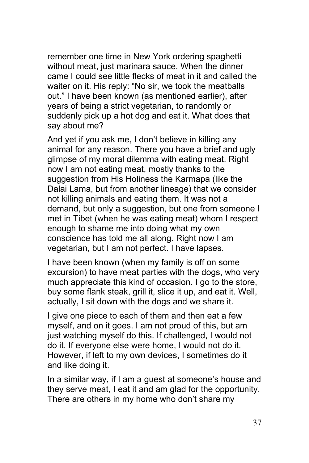remember one time in New York ordering spaghetti without meat, just marinara sauce. When the dinner came I could see little flecks of meat in it and called the waiter on it. His reply: "No sir, we took the meatballs out." I have been known (as mentioned earlier), after years of being a strict vegetarian, to randomly or suddenly pick up a hot dog and eat it. What does that say about me?

And yet if you ask me, I don't believe in killing any animal for any reason. There you have a brief and ugly glimpse of my moral dilemma with eating meat. Right now I am not eating meat, mostly thanks to the suggestion from His Holiness the Karmapa (like the Dalai Lama, but from another lineage) that we consider not killing animals and eating them. It was not a demand, but only a suggestion, but one from someone I met in Tibet (when he was eating meat) whom I respect enough to shame me into doing what my own conscience has told me all along. Right now I am vegetarian, but I am not perfect. I have lapses.

I have been known (when my family is off on some excursion) to have meat parties with the dogs, who very much appreciate this kind of occasion. I go to the store, buy some flank steak, grill it, slice it up, and eat it. Well, actually, I sit down with the dogs and we share it.

I give one piece to each of them and then eat a few myself, and on it goes. I am not proud of this, but am just watching myself do this. If challenged, I would not do it. If everyone else were home, I would not do it. However, if left to my own devices, I sometimes do it and like doing it.

In a similar way, if I am a guest at someone's house and they serve meat, I eat it and am glad for the opportunity. There are others in my home who don't share my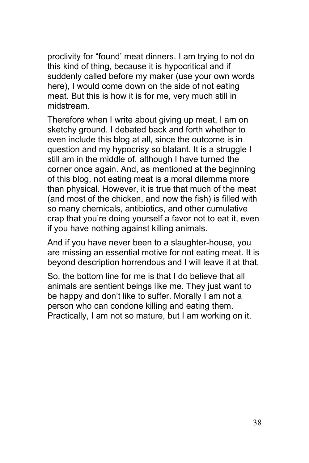proclivity for "found' meat dinners. I am trying to not do this kind of thing, because it is hypocritical and if suddenly called before my maker (use your own words here), I would come down on the side of not eating meat. But this is how it is for me, very much still in midstream.

Therefore when I write about giving up meat, I am on sketchy ground. I debated back and forth whether to even include this blog at all, since the outcome is in question and my hypocrisy so blatant. It is a struggle I still am in the middle of, although I have turned the corner once again. And, as mentioned at the beginning of this blog, not eating meat is a moral dilemma more than physical. However, it is true that much of the meat (and most of the chicken, and now the fish) is filled with so many chemicals, antibiotics, and other cumulative crap that you're doing yourself a favor not to eat it, even if you have nothing against killing animals.

And if you have never been to a slaughter-house, you are missing an essential motive for not eating meat. It is beyond description horrendous and I will leave it at that.

So, the bottom line for me is that I do believe that all animals are sentient beings like me. They just want to be happy and don't like to suffer. Morally I am not a person who can condone killing and eating them. Practically, I am not so mature, but I am working on it.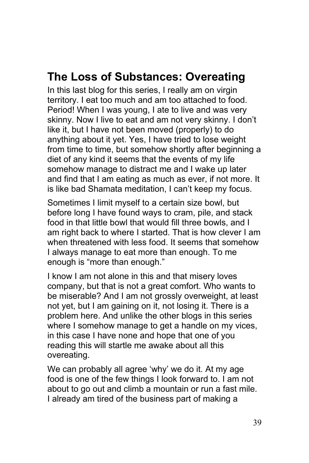### <span id="page-38-0"></span>**The Loss of Substances: Overeating**

In this last blog for this series, I really am on virgin territory. I eat too much and am too attached to food. Period! When I was young, I ate to live and was very skinny. Now I live to eat and am not very skinny. I don't like it, but I have not been moved (properly) to do anything about it yet. Yes, I have tried to lose weight from time to time, but somehow shortly after beginning a diet of any kind it seems that the events of my life somehow manage to distract me and I wake up later and find that I am eating as much as ever, if not more. It is like bad Shamata meditation, I can't keep my focus.

Sometimes I limit myself to a certain size bowl, but before long I have found ways to cram, pile, and stack food in that little bowl that would fill three bowls, and I am right back to where I started. That is how clever I am when threatened with less food. It seems that somehow I always manage to eat more than enough. To me enough is "more than enough."

I know I am not alone in this and that misery loves company, but that is not a great comfort. Who wants to be miserable? And I am not grossly overweight, at least not yet, but I am gaining on it, not losing it. There is a problem here. And unlike the other blogs in this series where I somehow manage to get a handle on my vices, in this case I have none and hope that one of you reading this will startle me awake about all this overeating.

We can probably all agree 'why' we do it. At my age food is one of the few things I look forward to. I am not about to go out and climb a mountain or run a fast mile. I already am tired of the business part of making a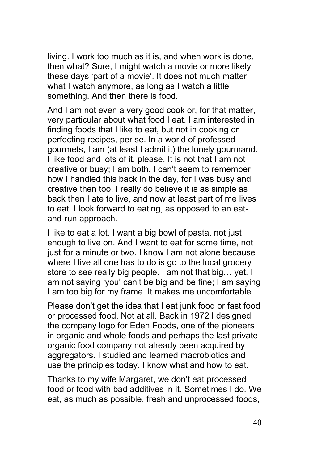living. I work too much as it is, and when work is done, then what? Sure, I might watch a movie or more likely these days 'part of a movie'. It does not much matter what I watch anymore, as long as I watch a little something. And then there is food.

And I am not even a very good cook or, for that matter, very particular about what food I eat. I am interested in finding foods that I like to eat, but not in cooking or perfecting recipes, per se. In a world of professed gourmets, I am (at least I admit it) the lonely gourmand. I like food and lots of it, please. It is not that I am not creative or busy; I am both. I can't seem to remember how I handled this back in the day, for I was busy and creative then too. I really do believe it is as simple as back then I ate to live, and now at least part of me lives to eat. I look forward to eating, as opposed to an eatand-run approach.

I like to eat a lot. I want a big bowl of pasta, not just enough to live on. And I want to eat for some time, not just for a minute or two. I know I am not alone because where I live all one has to do is go to the local grocery store to see really big people. I am not that big… yet. I am not saying 'you' can't be big and be fine; I am saying I am too big for my frame. It makes me uncomfortable.

Please don't get the idea that I eat junk food or fast food or processed food. Not at all. Back in 1972 I designed the company logo for Eden Foods, one of the pioneers in organic and whole foods and perhaps the last private organic food company not already been acquired by aggregators. I studied and learned macrobiotics and use the principles today. I know what and how to eat.

Thanks to my wife Margaret, we don't eat processed food or food with bad additives in it. Sometimes I do. We eat, as much as possible, fresh and unprocessed foods,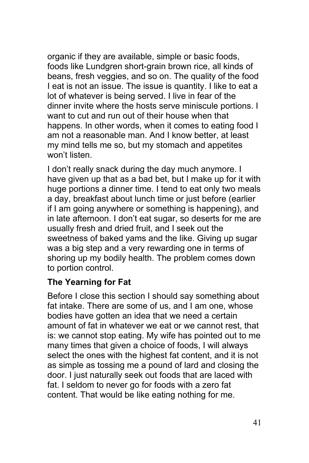organic if they are available, simple or basic foods, foods like Lundgren short-grain brown rice, all kinds of beans, fresh veggies, and so on. The quality of the food I eat is not an issue. The issue is quantity. I like to eat a lot of whatever is being served. I live in fear of the dinner invite where the hosts serve miniscule portions. I want to cut and run out of their house when that happens. In other words, when it comes to eating food I am not a reasonable man. And I know better, at least my mind tells me so, but my stomach and appetites won't listen.

I don't really snack during the day much anymore. I have given up that as a bad bet, but I make up for it with huge portions a dinner time. I tend to eat only two meals a day, breakfast about lunch time or just before (earlier if I am going anywhere or something is happening), and in late afternoon. I don't eat sugar, so deserts for me are usually fresh and dried fruit, and I seek out the sweetness of baked yams and the like. Giving up sugar was a big step and a very rewarding one in terms of shoring up my bodily health. The problem comes down to portion control.

### **The Yearning for Fat**

Before I close this section I should say something about fat intake. There are some of us, and I am one, whose bodies have gotten an idea that we need a certain amount of fat in whatever we eat or we cannot rest, that is: we cannot stop eating. My wife has pointed out to me many times that given a choice of foods, I will always select the ones with the highest fat content, and it is not as simple as tossing me a pound of lard and closing the door. I just naturally seek out foods that are laced with fat. I seldom to never go for foods with a zero fat content. That would be like eating nothing for me.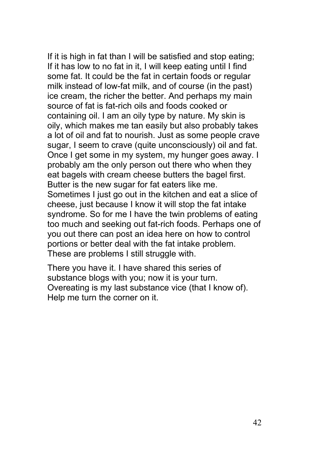If it is high in fat than I will be satisfied and stop eating; If it has low to no fat in it, I will keep eating until I find some fat. It could be the fat in certain foods or regular milk instead of low-fat milk, and of course (in the past) ice cream, the richer the better. And perhaps my main source of fat is fat-rich oils and foods cooked or containing oil. I am an oily type by nature. My skin is oily, which makes me tan easily but also probably takes a lot of oil and fat to nourish. Just as some people crave sugar, I seem to crave (quite unconsciously) oil and fat. Once I get some in my system, my hunger goes away. I probably am the only person out there who when they eat bagels with cream cheese butters the bagel first. Butter is the new sugar for fat eaters like me. Sometimes I just go out in the kitchen and eat a slice of cheese, just because I know it will stop the fat intake syndrome. So for me I have the twin problems of eating too much and seeking out fat-rich foods. Perhaps one of you out there can post an idea here on how to control portions or better deal with the fat intake problem. These are problems I still struggle with.

There you have it. I have shared this series of substance blogs with you; now it is your turn. Overeating is my last substance vice (that I know of). Help me turn the corner on it.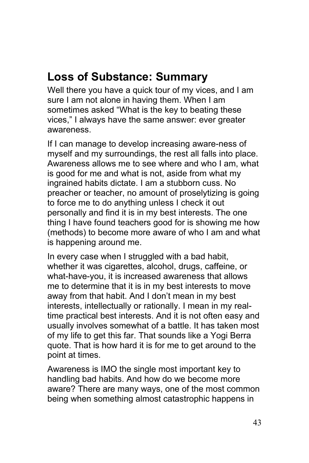### <span id="page-42-0"></span>**Loss of Substance: Summary**

Well there you have a quick tour of my vices, and I am sure I am not alone in having them. When I am sometimes asked "What is the key to beating these vices," I always have the same answer: ever greater awareness.

If I can manage to develop increasing aware-ness of myself and my surroundings, the rest all falls into place. Awareness allows me to see where and who I am, what is good for me and what is not, aside from what my ingrained habits dictate. I am a stubborn cuss. No preacher or teacher, no amount of proselytizing is going to force me to do anything unless I check it out personally and find it is in my best interests. The one thing I have found teachers good for is showing me how (methods) to become more aware of who I am and what is happening around me.

In every case when I struggled with a bad habit, whether it was cigarettes, alcohol, drugs, caffeine, or what-have-you, it is increased awareness that allows me to determine that it is in my best interests to move away from that habit. And I don't mean in my best interests, intellectually or rationally. I mean in my realtime practical best interests. And it is not often easy and usually involves somewhat of a battle. It has taken most of my life to get this far. That sounds like a Yogi Berra quote. That is how hard it is for me to get around to the point at times.

Awareness is IMO the single most important key to handling bad habits. And how do we become more aware? There are many ways, one of the most common being when something almost catastrophic happens in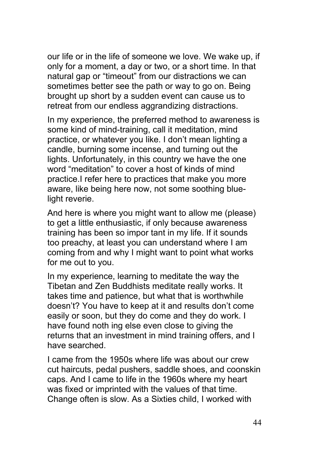our life or in the life of someone we love. We wake up, if only for a moment, a day or two, or a short time. In that natural gap or "timeout" from our distractions we can sometimes better see the path or way to go on. Being brought up short by a sudden event can cause us to retreat from our endless aggrandizing distractions.

In my experience, the preferred method to awareness is some kind of mind-training, call it meditation, mind practice, or whatever you like. I don't mean lighting a candle, burning some incense, and turning out the lights. Unfortunately, in this country we have the one word "meditation" to cover a host of kinds of mind practice.I refer here to practices that make you more aware, like being here now, not some soothing bluelight reverie.

And here is where you might want to allow me (please) to get a little enthusiastic, if only because awareness training has been so impor tant in my life. If it sounds too preachy, at least you can understand where I am coming from and why I might want to point what works for me out to you.

In my experience, learning to meditate the way the Tibetan and Zen Buddhists meditate really works. It takes time and patience, but what that is worthwhile doesn't? You have to keep at it and results don't come easily or soon, but they do come and they do work. I have found noth ing else even close to giving the returns that an investment in mind training offers, and I have searched.

I came from the 1950s where life was about our crew cut haircuts, pedal pushers, saddle shoes, and coonskin caps. And I came to life in the 1960s where my heart was fixed or imprinted with the values of that time. Change often is slow. As a Sixties child, I worked with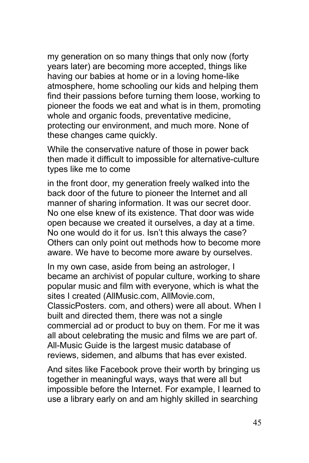my generation on so many things that only now (forty years later) are becoming more accepted, things like having our babies at home or in a loving home-like atmosphere, home schooling our kids and helping them find their passions before turning them loose, working to pioneer the foods we eat and what is in them, promoting whole and organic foods, preventative medicine, protecting our environment, and much more. None of these changes came quickly.

While the conservative nature of those in power back then made it difficult to impossible for alternative-culture types like me to come

in the front door, my generation freely walked into the back door of the future to pioneer the Internet and all manner of sharing information. It was our secret door. No one else knew of its existence. That door was wide open because we created it ourselves, a day at a time. No one would do it for us. Isn't this always the case? Others can only point out methods how to become more aware. We have to become more aware by ourselves.

In my own case, aside from being an astrologer, I became an archivist of popular culture, working to share popular music and film with everyone, which is what the sites I created (AllMusic.com, AllMovie.com, ClassicPosters. com, and others) were all about. When I built and directed them, there was not a single commercial ad or product to buy on them. For me it was all about celebrating the music and films we are part of. All-Music Guide is the largest music database of reviews, sidemen, and albums that has ever existed.

And sites like Facebook prove their worth by bringing us together in meaningful ways, ways that were all but impossible before the Internet. For example, I learned to use a library early on and am highly skilled in searching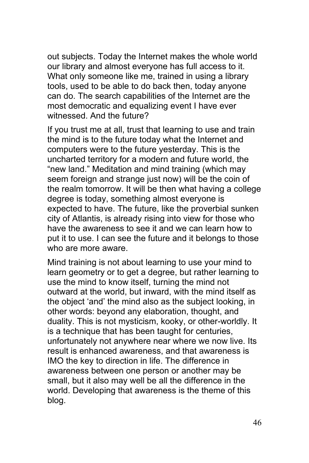out subjects. Today the Internet makes the whole world our library and almost everyone has full access to it. What only someone like me, trained in using a library tools, used to be able to do back then, today anyone can do. The search capabilities of the Internet are the most democratic and equalizing event I have ever witnessed. And the future?

If you trust me at all, trust that learning to use and train the mind is to the future today what the Internet and computers were to the future yesterday. This is the uncharted territory for a modern and future world, the "new land." Meditation and mind training (which may seem foreign and strange just now) will be the coin of the realm tomorrow. It will be then what having a college degree is today, something almost everyone is expected to have. The future, like the proverbial sunken city of Atlantis, is already rising into view for those who have the awareness to see it and we can learn how to put it to use. I can see the future and it belongs to those who are more aware.

Mind training is not about learning to use your mind to learn geometry or to get a degree, but rather learning to use the mind to know itself, turning the mind not outward at the world, but inward, with the mind itself as the object 'and' the mind also as the subject looking, in other words: beyond any elaboration, thought, and duality. This is not mysticism, kooky, or other-worldly. It is a technique that has been taught for centuries, unfortunately not anywhere near where we now live. Its result is enhanced awareness, and that awareness is IMO the key to direction in life. The difference in awareness between one person or another may be small, but it also may well be all the difference in the world. Developing that awareness is the theme of this blog.